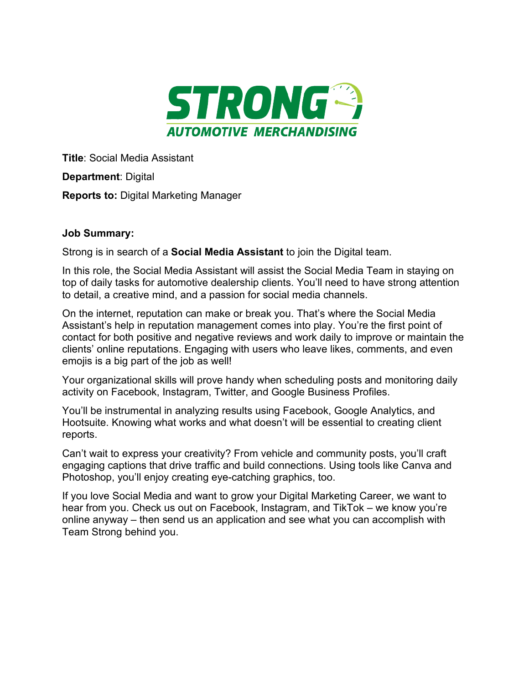

**Title**: Social Media Assistant

**Department**: Digital

**Reports to:** Digital Marketing Manager

## **Job Summary:**

Strong is in search of a **Social Media Assistant** to join the Digital team.

In this role, the Social Media Assistant will assist the Social Media Team in staying on top of daily tasks for automotive dealership clients. You'll need to have strong attention to detail, a creative mind, and a passion for social media channels.

On the internet, reputation can make or break you. That's where the Social Media Assistant's help in reputation management comes into play. You're the first point of contact for both positive and negative reviews and work daily to improve or maintain the clients' online reputations. Engaging with users who leave likes, comments, and even emojis is a big part of the job as well!

Your organizational skills will prove handy when scheduling posts and monitoring daily activity on Facebook, Instagram, Twitter, and Google Business Profiles.

You'll be instrumental in analyzing results using Facebook, Google Analytics, and Hootsuite. Knowing what works and what doesn't will be essential to creating client reports.

Can't wait to express your creativity? From vehicle and community posts, you'll craft engaging captions that drive traffic and build connections. Using tools like Canva and Photoshop, you'll enjoy creating eye-catching graphics, too.

If you love Social Media and want to grow your Digital Marketing Career, we want to hear from you. Check us out on Facebook, Instagram, and TikTok – we know you're online anyway – then send us an application and see what you can accomplish with Team Strong behind you.